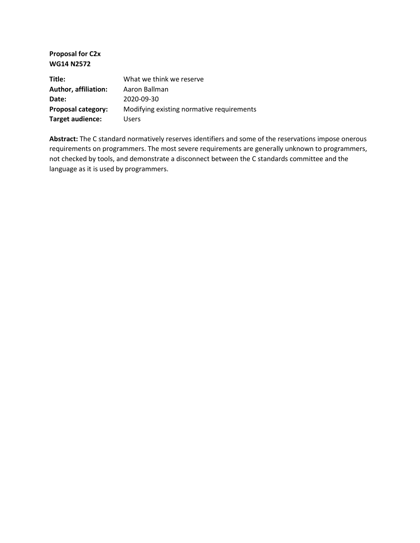**Proposal for C2x WG14 N2572**

| Title:               | What we think we reserve                  |
|----------------------|-------------------------------------------|
| Author, affiliation: | Aaron Ballman                             |
| Date:                | 2020-09-30                                |
| Proposal category:   | Modifying existing normative requirements |
| Target audience:     | <b>Users</b>                              |

**Abstract:** The C standard normatively reserves identifiers and some of the reservations impose onerous requirements on programmers. The most severe requirements are generally unknown to programmers, not checked by tools, and demonstrate a disconnect between the C standards committee and the language as it is used by programmers.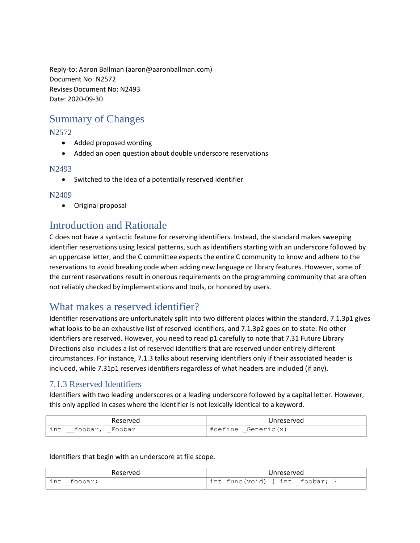Reply-to: Aaron Ballman (aaron@aaronballman.com) Document No: N2572 Revises Document No: N2493 Date: 2020-09-30

# Summary of Changes

#### N2572

- Added proposed wording
- Added an open question about double underscore reservations

#### N2493

Switched to the idea of a potentially reserved identifier

#### N2409

Original proposal

## Introduction and Rationale

C does not have a syntactic feature for reserving identifiers. Instead, the standard makes sweeping identifier reservations using lexical patterns, such as identifiers starting with an underscore followed by an uppercase letter, and the C committee expects the entire C community to know and adhere to the reservations to avoid breaking code when adding new language or library features. However, some of the current reservations result in onerous requirements on the programming community that are often not reliably checked by implementations and tools, or honored by users.

## What makes a reserved identifier?

Identifier reservations are unfortunately split into two different places within the standard. 7.1.3p1 gives what looks to be an exhaustive list of reserved identifiers, and 7.1.3p2 goes on to state: No other identifiers are reserved. However, you need to read p1 carefully to note that 7.31 Future Library Directions also includes a list of reserved identifiers that are reserved under entirely different circumstances. For instance, 7.1.3 talks about reserving identifiers only if their associated header is included, while 7.31p1 reserves identifiers regardless of what headers are included (if any).

### 7.1.3 Reserved Identifiers

Identifiers with two leading underscores or a leading underscore followed by a capital letter. However, this only applied in cases where the identifier is not lexically identical to a keyword.

| Reserved                | Unreserved               |
|-------------------------|--------------------------|
| Foobar<br>int<br>toobar | Generic(x)<br>ກ≙<br>#de: |

#### Identifiers that begin with an underscore at file scope.

| Reserved            | Unreserved                      |
|---------------------|---------------------------------|
| int<br>foobar;<br>— | int func(void) {    int foobar; |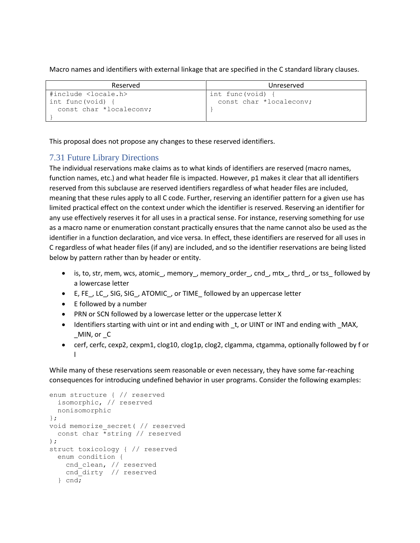Macro names and identifiers with external linkage that are specified in the C standard library clauses.

| Reserved                       | Unreserved              |
|--------------------------------|-------------------------|
| #include <locale.h></locale.h> | int func(void)          |
| int func(void)                 | const char *localeconv; |
| const char *localeconv;        |                         |
|                                |                         |

This proposal does not propose any changes to these reserved identifiers.

## 7.31 Future Library Directions

The individual reservations make claims as to what kinds of identifiers are reserved (macro names, function names, etc.) and what header file is impacted. However, p1 makes it clear that all identifiers reserved from this subclause are reserved identifiers regardless of what header files are included, meaning that these rules apply to all C code. Further, reserving an identifier pattern for a given use has limited practical effect on the context under which the identifier is reserved. Reserving an identifier for any use effectively reserves it for all uses in a practical sense. For instance, reserving something for use as a macro name or enumeration constant practically ensures that the name cannot also be used as the identifier in a function declaration, and vice versa. In effect, these identifiers are reserved for all uses in C regardless of what header files (if any) are included, and so the identifier reservations are being listed below by pattern rather than by header or entity.

- is, to, str, mem, wcs, atomic\_, memory\_, memory\_order\_, cnd\_, mtx\_, thrd\_, or tss\_ followed by a lowercase letter
- E, FE\_, LC\_, SIG, SIG\_, ATOMIC\_, or TIME\_ followed by an uppercase letter
- $\bullet$  E followed by a number
- PRN or SCN followed by a lowercase letter or the uppercase letter X
- Identifiers starting with uint or int and ending with \_t, or UINT or INT and ending with \_MAX, MIN, or C
- cerf, cerfc, cexp2, cexpm1, clog10, clog1p, clog2, clgamma, ctgamma, optionally followed by f or l

While many of these reservations seem reasonable or even necessary, they have some far-reaching consequences for introducing undefined behavior in user programs. Consider the following examples:

```
enum structure { // reserved
  isomorphic, // reserved
  nonisomorphic
};
void memorize_secret( // reserved
   const char *string // reserved
);
struct toxicology { // reserved
  enum condition {
    cnd_clean, // reserved
   cnd dirty // reserved
   } cnd;
```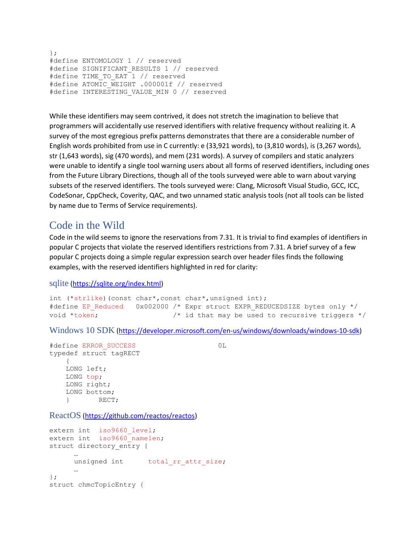```
};
#define ENTOMOLOGY 1 // reserved
#define SIGNIFICANT_RESULTS 1 // reserved
#define TIME TO EAT 1 // reserved
#define ATOMIC WEIGHT .000001f // reserved
#define INTERESTING VALUE MIN 0 // reserved
```
While these identifiers may seem contrived, it does not stretch the imagination to believe that programmers will accidentally use reserved identifiers with relative frequency without realizing it. A survey of the most egregious prefix patterns demonstrates that there are a considerable number of English words prohibited from use in C currently: e (33,921 words), to (3,810 words), is (3,267 words), str (1,643 words), sig (470 words), and mem (231 words). A survey of compilers and static analyzers were unable to identify a single tool warning users about all forms of reserved identifiers, including ones from the Future Library Directions, though all of the tools surveyed were able to warn about varying subsets of the reserved identifiers. The tools surveyed were: Clang, Microsoft Visual Studio, GCC, ICC, CodeSonar, CppCheck, Coverity, QAC, and two unnamed static analysis tools (not all tools can be listed by name due to Terms of Service requirements).

## Code in the Wild

Code in the wild seems to ignore the reservations from 7.31. It is trivial to find examples of identifiers in popular C projects that violate the reserved identifiers restrictions from 7.31. A brief survey of a few popular C projects doing a simple regular expression search over header files finds the following examples, with the reserved identifiers highlighted in red for clarity:

sqlite [\(https://sqlite.org/index.html\)](https://sqlite.org/index.html)

int (\*strlike)(const char\*,const char\*,unsigned int); #define EP\_Reduced 0x002000 /\* Expr struct EXPR\_REDUCEDSIZE bytes only \*/ void \*token;  $\frac{1}{2}$  /\* id that may be used to recursive triggers \*/

Windows 10 SDK [\(https://developer.microsoft.com/en-us/windows/downloads/windows-10-sdk\)](https://developer.microsoft.com/en-us/windows/downloads/windows-10-sdk)

```
#define ERROR_SUCCESS 0L
typedef struct tagRECT
    {
    LONG left;
    LONG top;
    LONG right;
    LONG bottom;
    } RECT;
```
ReactOS [\(https://github.com/reactos/reactos\)](https://github.com/reactos/reactos)

```
extern int iso9660 level;
extern int iso9660 namelen;
struct directory entry {
      …
     unsigned int total_rr_attr_size;
      …
};
struct chmcTopicEntry {
```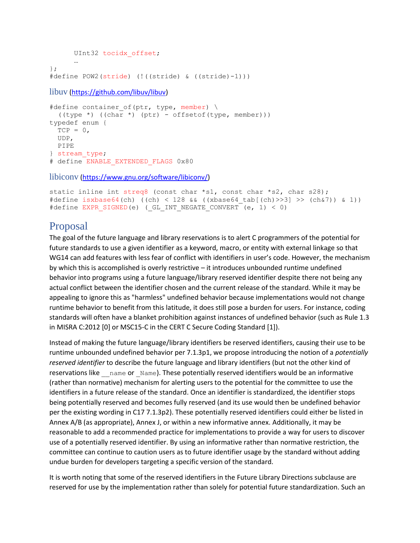```
UInt32 tocidx_offset;
      …
};
#define POW2(stride) (!((stride) & ((stride)-1)))
libuv (https://github.com/libuv/libuv)
#define container of(ptr, type, member) \
   ((type *) ((char *) (ptr) - offsetof(type, member)))
typedef enum {
  TCP = 0, UDP,
   PIPE
} stream_type;
# define ENABLE EXTENDED FLAGS 0x80
```
libiconv [\(https://www.gnu.org/software/libiconv/\)](https://www.gnu.org/software/libiconv/)

```
static inline int streq8 (const char *s1, const char *s2, char s28);
#define isxbase64(ch) ((ch) < 128 && ((xbase64_tab[(ch)>>3] >> (ch&7)) & 1))
#define EXPR SIGNED(e) ( GL INT NEGATE CONVERT (e, 1) < 0)
```
## Proposal

The goal of the future language and library reservations is to alert C programmers of the potential for future standards to use a given identifier as a keyword, macro, or entity with external linkage so that WG14 can add features with less fear of conflict with identifiers in user's code. However, the mechanism by which this is accomplished is overly restrictive – it introduces unbounded runtime undefined behavior into programs using a future language/library reserved identifier despite there not being any actual conflict between the identifier chosen and the current release of the standard. While it may be appealing to ignore this as "harmless" undefined behavior because implementations would not change runtime behavior to benefit from this latitude, it does still pose a burden for users. For instance, coding standards will often have a blanket prohibition against instances of undefined behavior (such as Rule 1.3 in MISRA C:2012 [0] or MSC15-C in the CERT C Secure Coding Standard [1]).

Instead of making the future language/library identifiers be reserved identifiers, causing their use to be runtime unbounded undefined behavior per 7.1.3p1, we propose introducing the notion of a *potentially reserved identifier* to describe the future language and library identifiers (but not the other kind of reservations like \_\_\_ name or \_Name). These potentially reserved identifiers would be an informative (rather than normative) mechanism for alerting users to the potential for the committee to use the identifiers in a future release of the standard. Once an identifier is standardized, the identifier stops being potentially reserved and becomes fully reserved (and its use would then be undefined behavior per the existing wording in C17 7.1.3p2). These potentially reserved identifiers could either be listed in Annex A/B (as appropriate), Annex J, or within a new informative annex. Additionally, it may be reasonable to add a recommended practice for implementations to provide a way for users to discover use of a potentially reserved identifier. By using an informative rather than normative restriction, the committee can continue to caution users as to future identifier usage by the standard without adding undue burden for developers targeting a specific version of the standard.

It is worth noting that some of the reserved identifiers in the Future Library Directions subclause are reserved for use by the implementation rather than solely for potential future standardization. Such an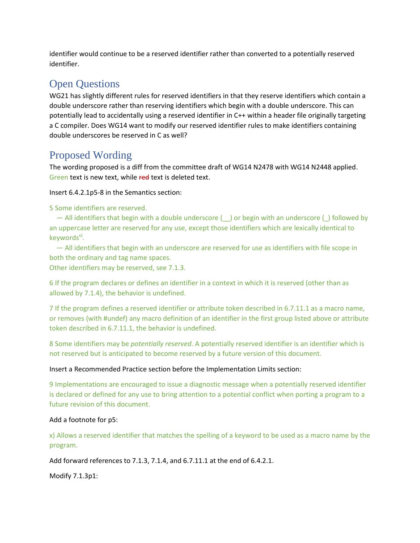identifier would continue to be a reserved identifier rather than converted to a potentially reserved identifier.

# Open Questions

WG21 has slightly different rules for reserved identifiers in that they reserve identifiers which contain a double underscore rather than reserving identifiers which begin with a double underscore. This can potentially lead to accidentally using a reserved identifier in C++ within a header file originally targeting a C compiler. Does WG14 want to modify our reserved identifier rules to make identifiers containing double underscores be reserved in C as well?

# Proposed Wording

The wording proposed is a diff from the committee draft of WG14 N2478 with WG14 N2448 applied. Green text is new text, while red text is deleted text.

Insert 6.4.2.1p5-8 in the Semantics section:

5 Some identifiers are reserved.

 — All identifiers that begin with a double underscore (\_\_) or begin with an underscore (\_) followed by an uppercase letter are reserved for any use, except those identifiers which are lexically identical to keywords<sup>x)</sup>.

 — All identifiers that begin with an underscore are reserved for use as identifiers with file scope in both the ordinary and tag name spaces.

Other identifiers may be reserved, see 7.1.3.

6 If the program declares or defines an identifier in a context in which it is reserved (other than as allowed by 7.1.4), the behavior is undefined.

7 If the program defines a reserved identifier or attribute token described in 6.7.11.1 as a macro name, or removes (with #undef) any macro definition of an identifier in the first group listed above or attribute token described in 6.7.11.1, the behavior is undefined.

8 Some identifiers may be *potentially reserved*. A potentially reserved identifier is an identifier which is not reserved but is anticipated to become reserved by a future version of this document.

#### Insert a Recommended Practice section before the Implementation Limits section:

9 Implementations are encouraged to issue a diagnostic message when a potentially reserved identifier is declared or defined for any use to bring attention to a potential conflict when porting a program to a future revision of this document.

### Add a footnote for p5:

x) Allows a reserved identifier that matches the spelling of a keyword to be used as a macro name by the program.

Add forward references to 7.1.3, 7.1.4, and 6.7.11.1 at the end of 6.4.2.1.

Modify 7.1.3p1: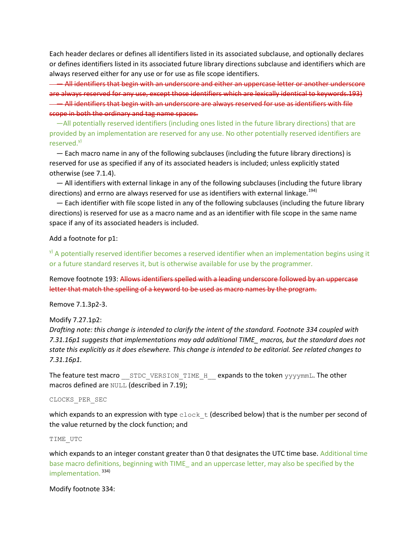Each header declares or defines all identifiers listed in its associated subclause, and optionally declares or defines identifiers listed in its associated future library directions subclause and identifiers which are always reserved either for any use or for use as file scope identifiers.

 — All identifiers that begin with an underscore and either an uppercase letter or another underscore are always reserved for any use, except those identifiers which are lexically identical to keywords.193) — All identifiers that begin with an underscore are always reserved for use as identifiers with file scope in both the ordinary and tag name spaces.

 —All potentially reserved identifiers (including ones listed in the future library directions) that are provided by an implementation are reserved for any use. No other potentially reserved identifiers are reserved.<sup>y)</sup>

 — Each macro name in any of the following subclauses (including the future library directions) is reserved for use as specified if any of its associated headers is included; unless explicitly stated otherwise (see 7.1.4).

 — All identifiers with external linkage in any of the following subclauses (including the future library directions) and errno are always reserved for use as identifiers with external linkage.<sup>194)</sup>

 — Each identifier with file scope listed in any of the following subclauses (including the future library directions) is reserved for use as a macro name and as an identifier with file scope in the same name space if any of its associated headers is included.

#### Add a footnote for p1:

 $\theta$ ) A potentially reserved identifier becomes a reserved identifier when an implementation begins using it or a future standard reserves it, but is otherwise available for use by the programmer.

Remove footnote 193: Allows identifiers spelled with a leading underscore followed by an uppercase letter that match the spelling of a keyword to be used as macro names by the program.

Remove 7.1.3p2-3.

Modify 7.27.1p2:

*Drafting note: this change is intended to clarify the intent of the standard. Footnote 334 coupled with 7.31.16p1 suggests that implementations may add additional TIME\_ macros, but the standard does not state this explicitly as it does elsewhere. This change is intended to be editorial. See related changes to 7.31.16p1.*

The feature test macro \_\_STDC\_VERSION\_TIME\_H\_\_ expands to the token yyyymmL. The other macros defined are NULL (described in 7.19);

#### CLOCKS\_PER\_SEC

which expands to an expression with type  $\text{clock}\_\text{t}$  (described below) that is the number per second of the value returned by the clock function; and

#### TIME\_UTC

which expands to an integer constant greater than 0 that designates the UTC time base. Additional time base macro definitions, beginning with TIME\_ and an uppercase letter, may also be specified by the implementation.<sup>334)</sup>

Modify footnote 334: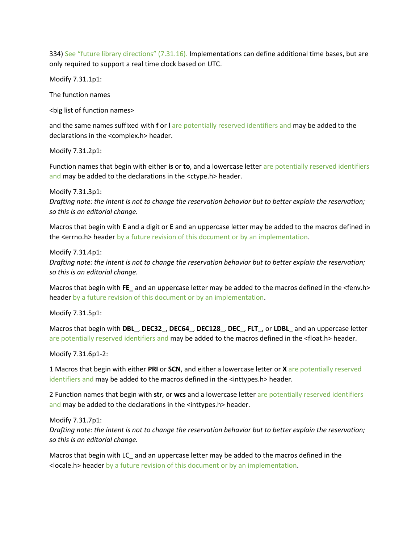334) See "future library directions" (7.31.16). Implementations can define additional time bases, but are only required to support a real time clock based on UTC.

Modify 7.31.1p1:

The function names

<big list of function names>

and the same names suffixed with **f** or **l** are potentially reserved identifiers and may be added to the declarations in the <complex.h> header.

Modify 7.31.2p1:

Function names that begin with either **is** or **to**, and a lowercase letter are potentially reserved identifiers and may be added to the declarations in the <ctype.h> header.

Modify 7.31.3p1: *Drafting note: the intent is not to change the reservation behavior but to better explain the reservation; so this is an editorial change.*

Macros that begin with **E** and a digit or **E** and an uppercase letter may be added to the macros defined in the <errno.h> header by a future revision of this document or by an implementation.

Modify 7.31.4p1: *Drafting note: the intent is not to change the reservation behavior but to better explain the reservation; so this is an editorial change.*

Macros that begin with **FE\_** and an uppercase letter may be added to the macros defined in the <fenv.h> header by a future revision of this document or by an implementation.

Modify 7.31.5p1:

Macros that begin with **DBL\_**, **DEC32\_**, **DEC64\_**, **DEC128\_**, **DEC\_**, **FLT\_**, or **LDBL\_** and an uppercase letter are potentially reserved identifiers and may be added to the macros defined in the <float.h> header.

Modify 7.31.6p1-2:

1 Macros that begin with either **PRI** or **SCN**, and either a lowercase letter or **X** are potentially reserved identifiers and may be added to the macros defined in the <inttypes.h> header.

2 Function names that begin with **str**, or **wcs** and a lowercase letter are potentially reserved identifiers and may be added to the declarations in the <inttypes.h> header.

Modify 7.31.7p1: *Drafting note: the intent is not to change the reservation behavior but to better explain the reservation; so this is an editorial change.*

Macros that begin with LC\_ and an uppercase letter may be added to the macros defined in the <locale.h> header by a future revision of this document or by an implementation.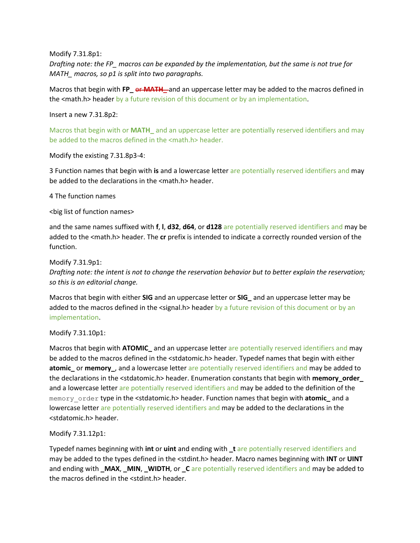Modify 7.31.8p1:

*Drafting note: the FP\_ macros can be expanded by the implementation, but the same is not true for MATH\_ macros, so p1 is split into two paragraphs.*

Macros that begin with **FP\_** or **MATH\_** and an uppercase letter may be added to the macros defined in the <math.h> header by a future revision of this document or by an implementation.

Insert a new 7.31.8p2:

Macros that begin with or **MATH\_** and an uppercase letter are potentially reserved identifiers and may be added to the macros defined in the <math.h> header.

Modify the existing 7.31.8p3-4:

3 Function names that begin with **is** and a lowercase letter are potentially reserved identifiers and may be added to the declarations in the <math.h> header.

4 The function names

<big list of function names>

and the same names suffixed with **f**, **l**, **d32**, **d64**, or **d128** are potentially reserved identifiers and may be added to the <math.h> header. The **cr** prefix is intended to indicate a correctly rounded version of the function.

Modify 7.31.9p1:

*Drafting note: the intent is not to change the reservation behavior but to better explain the reservation; so this is an editorial change.*

Macros that begin with either **SIG** and an uppercase letter or **SIG\_** and an uppercase letter may be added to the macros defined in the <signal.h> header by a future revision of this document or by an implementation.

Modify 7.31.10p1:

Macros that begin with **ATOMIC\_** and an uppercase letter are potentially reserved identifiers and may be added to the macros defined in the <stdatomic.h> header. Typedef names that begin with either **atomic\_** or **memory\_**, and a lowercase letter are potentially reserved identifiers and may be added to the declarations in the <stdatomic.h> header. Enumeration constants that begin with **memory\_order\_** and a lowercase letter are potentially reserved identifiers and may be added to the definition of the memory\_order type in the <stdatomic.h> header. Function names that begin with **atomic\_** and a lowercase letter are potentially reserved identifiers and may be added to the declarations in the <stdatomic.h> header.

Modify 7.31.12p1:

Typedef names beginning with **int** or **uint** and ending with **\_t** are potentially reserved identifiers and may be added to the types defined in the <stdint.h> header. Macro names beginning with **INT** or **UINT** and ending with **\_MAX**, **\_MIN**, **\_WIDTH**, or **\_C** are potentially reserved identifiers and may be added to the macros defined in the <stdint.h> header.